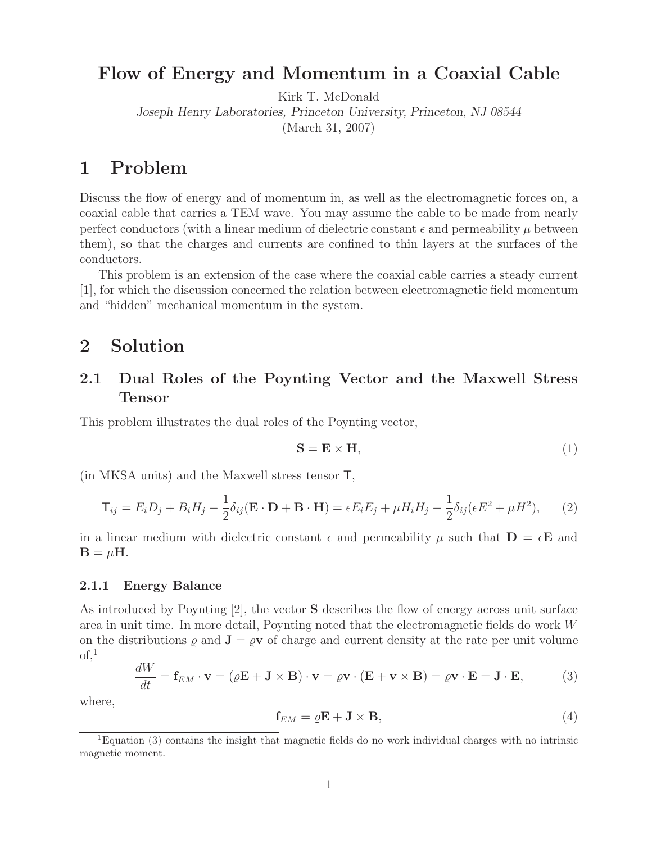# **Flow of Energy and Momentum in a Coaxial Cable**

Kirk T. McDonald

*Joseph Henry Laboratories, Princeton University, Princeton, NJ 08544*

(March 31, 2007)

# **1 Problem**

Discuss the flow of energy and of momentum in, as well as the electromagnetic forces on, a coaxial cable that carries a TEM wave. You may assume the cable to be made from nearly perfect conductors (with a linear medium of dielectric constant  $\epsilon$  and permeability  $\mu$  between them), so that the charges and currents are confined to thin layers at the surfaces of the conductors.

This problem is an extension of the case where the coaxial cable carries a steady current [1], for which the discussion concerned the relation between electromagnetic field momentum and "hidden" mechanical momentum in the system.

## **2 Solution**

## **2.1 Dual Roles of the Poynting Vector and the Maxwell Stress Tensor**

This problem illustrates the dual roles of the Poynting vector,

$$
S = E \times H,
$$
 (1)

(in MKSA units) and the Maxwell stress tensor T,

$$
\mathbf{T}_{ij} = E_i D_j + B_i H_j - \frac{1}{2} \delta_{ij} (\mathbf{E} \cdot \mathbf{D} + \mathbf{B} \cdot \mathbf{H}) = \epsilon E_i E_j + \mu H_i H_j - \frac{1}{2} \delta_{ij} (\epsilon E^2 + \mu H^2), \tag{2}
$$

in a linear medium with dielectric constant  $\epsilon$  and permeability  $\mu$  such that  $\mathbf{D} = \epsilon \mathbf{E}$  and  $\mathbf{B} = \mu \mathbf{H}$ .

#### **2.1.1 Energy Balance**

As introduced by Poynting [2], the vector **S** describes the flow of energy across unit surface area in unit time. In more detail, Poynting noted that the electromagnetic fields do work W on the distributions  $\rho$  and  $\mathbf{J} = \rho \mathbf{v}$  of charge and current density at the rate per unit volume  $\mathrm{of}$ <sup>1</sup>

$$
\frac{dW}{dt} = \mathbf{f}_{EM} \cdot \mathbf{v} = (\rho \mathbf{E} + \mathbf{J} \times \mathbf{B}) \cdot \mathbf{v} = \rho \mathbf{v} \cdot (\mathbf{E} + \mathbf{v} \times \mathbf{B}) = \rho \mathbf{v} \cdot \mathbf{E} = \mathbf{J} \cdot \mathbf{E},
$$
 (3)

where,

$$
\mathbf{f}_{EM} = \varrho \mathbf{E} + \mathbf{J} \times \mathbf{B},\tag{4}
$$

<sup>1</sup>Equation (3) contains the insight that magnetic fields do no work individual charges with no intrinsic magnetic moment.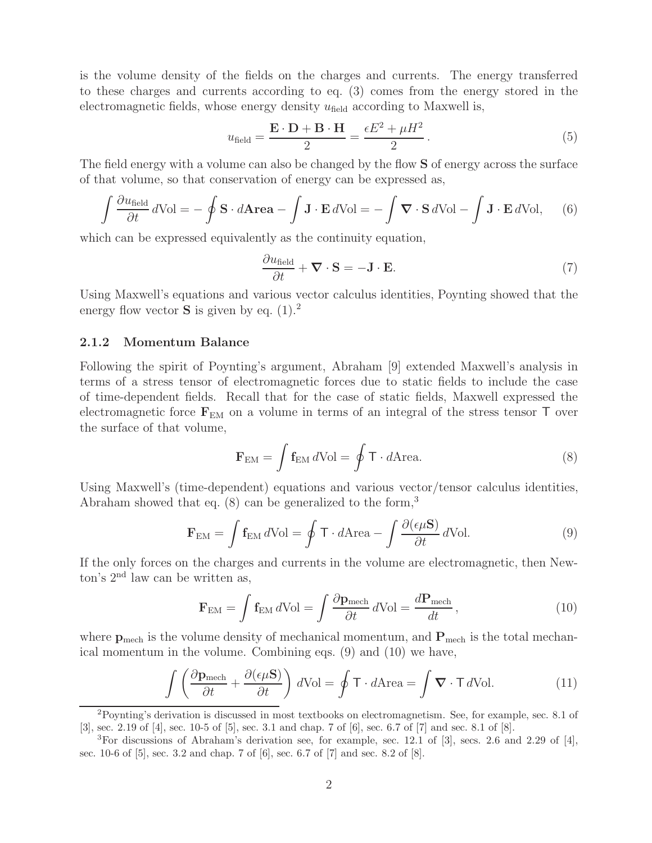is the volume density of the fields on the charges and currents. The energy transferred to these charges and currents according to eq. (3) comes from the energy stored in the electromagnetic fields, whose energy density  $u_{field}$  according to Maxwell is,

$$
u_{\text{field}} = \frac{\mathbf{E} \cdot \mathbf{D} + \mathbf{B} \cdot \mathbf{H}}{2} = \frac{\epsilon E^2 + \mu H^2}{2}.
$$
 (5)

The field energy with a volume can also be changed by the flow **S** of energy across the surface of that volume, so that conservation of energy can be expressed as,

$$
\int \frac{\partial u_{\text{field}}}{\partial t} d\text{Vol} = -\oint \mathbf{S} \cdot d\mathbf{Area} - \int \mathbf{J} \cdot \mathbf{E} d\text{Vol} = -\int \mathbf{\nabla} \cdot \mathbf{S} d\text{Vol} - \int \mathbf{J} \cdot \mathbf{E} d\text{Vol}, \quad (6)
$$

which can be expressed equivalently as the continuity equation,

$$
\frac{\partial u_{\text{field}}}{\partial t} + \nabla \cdot \mathbf{S} = -\mathbf{J} \cdot \mathbf{E}.
$$
 (7)

Using Maxwell's equations and various vector calculus identities, Poynting showed that the energy flow vector **S** is given by eq.  $(1).^{2}$ 

#### **2.1.2 Momentum Balance**

Following the spirit of Poynting's argument, Abraham [9] extended Maxwell's analysis in terms of a stress tensor of electromagnetic forces due to static fields to include the case of time-dependent fields. Recall that for the case of static fields, Maxwell expressed the electromagnetic force  $\mathbf{F}_{EM}$  on a volume in terms of an integral of the stress tensor  $\mathsf{T}$  over the surface of that volume,

$$
\mathbf{F}_{\text{EM}} = \int \mathbf{f}_{\text{EM}} \, d\text{Vol} = \oint \mathbf{T} \cdot d\text{Area.} \tag{8}
$$

Using Maxwell's (time-dependent) equations and various vector/tensor calculus identities, Abraham showed that eq.  $(8)$  can be generalized to the form,<sup>3</sup>

$$
\mathbf{F}_{\text{EM}} = \int \mathbf{f}_{\text{EM}} d\text{Vol} = \oint \mathbf{T} \cdot d\text{Area} - \int \frac{\partial (\epsilon \mu \mathbf{S})}{\partial t} d\text{Vol}.
$$
 (9)

If the only forces on the charges and currents in the volume are electromagnetic, then Newton's 2nd law can be written as,

$$
\mathbf{F}_{\text{EM}} = \int \mathbf{f}_{\text{EM}} d\text{Vol} = \int \frac{\partial \mathbf{p}_{\text{mech}}}{\partial t} d\text{Vol} = \frac{d\mathbf{P}_{\text{mech}}}{dt},\tag{10}
$$

where  $p_{\text{mech}}$  is the volume density of mechanical momentum, and  $P_{\text{mech}}$  is the total mechanical momentum in the volume. Combining eqs. (9) and (10) we have,

$$
\int \left( \frac{\partial \mathbf{p}_{\text{mech}}}{\partial t} + \frac{\partial (\epsilon \mu \mathbf{S})}{\partial t} \right) d\text{Vol} = \oint \mathbf{T} \cdot d\text{Area} = \int \mathbf{\nabla} \cdot \mathbf{T} d\text{Vol}.
$$
 (11)

<sup>2</sup>Poynting's derivation is discussed in most textbooks on electromagnetism. See, for example, sec. 8.1 of [3], sec. 2.19 of [4], sec. 10-5 of [5], sec. 3.1 and chap. 7 of [6], sec. 6.7 of [7] and sec. 8.1 of [8].

 ${}^{3}$ For discussions of Abraham's derivation see, for example, sec. 12.1 of [3], secs. 2.6 and 2.29 of [4], sec. 10-6 of [5], sec. 3.2 and chap. 7 of [6], sec. 6.7 of [7] and sec. 8.2 of [8].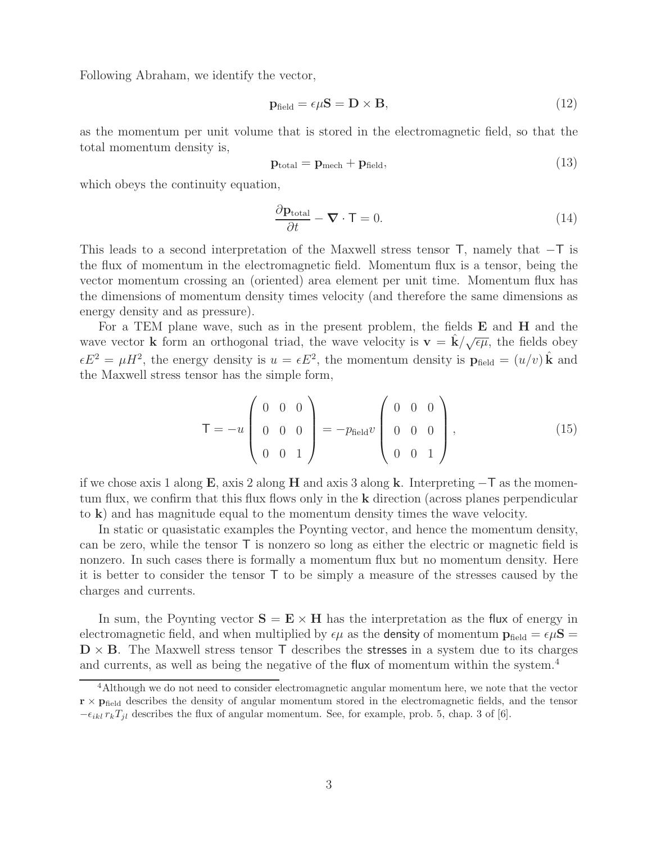Following Abraham, we identify the vector,

$$
\mathbf{p}_{\text{field}} = \epsilon \mu \mathbf{S} = \mathbf{D} \times \mathbf{B},\tag{12}
$$

as the momentum per unit volume that is stored in the electromagnetic field, so that the total momentum density is,

$$
\mathbf{p}_{\text{total}} = \mathbf{p}_{\text{mech}} + \mathbf{p}_{\text{field}},\tag{13}
$$

which obeys the continuity equation,

$$
\frac{\partial \mathbf{p}_{\text{total}}}{\partial t} - \mathbf{\nabla} \cdot \mathbf{T} = 0. \tag{14}
$$

This leads to a second interpretation of the Maxwell stress tensor  $\mathsf{T}$ , namely that  $-\mathsf{T}$  is the flux of momentum in the electromagnetic field. Momentum flux is a tensor, being the vector momentum crossing an (oriented) area element per unit time. Momentum flux has the dimensions of momentum density times velocity (and therefore the same dimensions as energy density and as pressure).

For a TEM plane wave, such as in the present problem, the fields **E** and **H** and the wave vector **k** form an orthogonal triad, the wave velocity is  $\mathbf{v} = \hat{\mathbf{k}}/\sqrt{\epsilon\mu}$ , the fields obey  $\epsilon E^2 = \mu H^2$ , the energy density is  $u = \epsilon E^2$ , the momentum density is  $\mathbf{p}_{\text{field}} = (u/v)\hat{\mathbf{k}}$  and the Maxwell stress tensor has the simple form,

$$
\mathsf{T} = -u \begin{pmatrix} 0 & 0 & 0 \\ 0 & 0 & 0 \\ 0 & 0 & 1 \end{pmatrix} = -p_{\text{field}}v \begin{pmatrix} 0 & 0 & 0 \\ 0 & 0 & 0 \\ 0 & 0 & 1 \end{pmatrix}, \tag{15}
$$

if we chose axis 1 along **<sup>E</sup>**, axis 2 along **<sup>H</sup>** and axis 3 along **<sup>k</sup>**. Interpreting <sup>−</sup><sup>T</sup> as the momentum flux, we confirm that this flux flows only in the **k** direction (across planes perpendicular to **k**) and has magnitude equal to the momentum density times the wave velocity.

In static or quasistatic examples the Poynting vector, and hence the momentum density, can be zero, while the tensor  $\mathsf T$  is nonzero so long as either the electric or magnetic field is nonzero. In such cases there is formally a momentum flux but no momentum density. Here it is better to consider the tensor T to be simply a measure of the stresses caused by the charges and currents.

In sum, the Poynting vector  $S = E \times H$  has the interpretation as the flux of energy in electromagnetic field, and when multiplied by  $\epsilon \mu$  as the **density** of momentum  $\mathbf{p}_{\text{field}} = \epsilon \mu \mathbf{S} =$  $\mathbf{D} \times \mathbf{B}$ . The Maxwell stress tensor  $\mathbf{T}$  describes the **stresses** in a system due to its charges and currents, as well as being the negative of the flux of momentum within the system.<sup>4</sup>

<sup>&</sup>lt;sup>4</sup>Although we do not need to consider electromagnetic angular momentum here, we note that the vector  $\mathbf{r} \times \mathbf{p}_{\text{field}}$  describes the density of angular momentum stored in the electromagnetic fields, and the tensor  $-\epsilon_{ikl} r_k T_{jl}$  describes the flux of angular momentum. See, for example, prob. 5, chap. 3 of [6].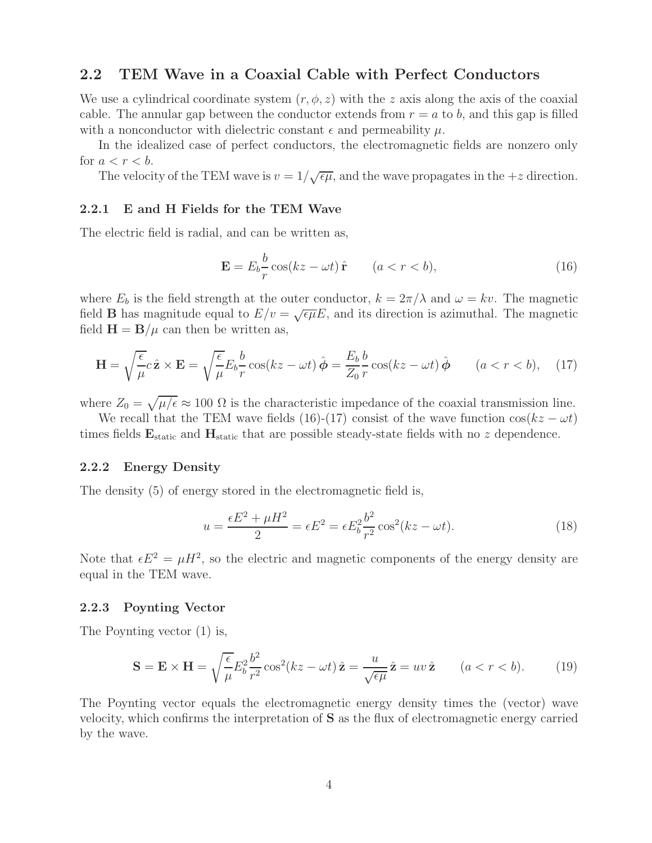### **2.2 TEM Wave in a Coaxial Cable with Perfect Conductors**

We use a cylindrical coordinate system  $(r, \phi, z)$  with the z axis along the axis of the coaxial cable. The annular gap between the conductor extends from  $r = a$  to b, and this gap is filled with a nonconductor with dielectric constant  $\epsilon$  and permeability  $\mu$ .

In the idealized case of perfect conductors, the electromagnetic fields are nonzero only for  $a < r < b$ .

The velocity of the TEM wave is  $v = 1/\sqrt{\epsilon \mu}$ , and the wave propagates in the  $+z$  direction.

#### **2.2.1 E and H Fields for the TEM Wave**

The electric field is radial, and can be written as,

$$
\mathbf{E} = E_b \frac{b}{r} \cos(kz - \omega t) \hat{\mathbf{r}} \qquad (a < r < b), \tag{16}
$$

where  $E_b$  is the field strength at the outer conductor,  $k = 2\pi/\lambda$  and  $\omega = kv$ . The magnetic field **B** has magnitude equal to  $E/v = \sqrt{\epsilon \mu} E$ , and its direction is azimuthal. The magnetic field  $H = B/\mu$  can then be written as,

$$
\mathbf{H} = \sqrt{\frac{\epsilon}{\mu}} c \hat{\mathbf{z}} \times \mathbf{E} = \sqrt{\frac{\epsilon}{\mu}} E_b \frac{b}{r} \cos(kz - \omega t) \hat{\boldsymbol{\phi}} = \frac{E_b}{Z_0} \frac{b}{r} \cos(kz - \omega t) \hat{\boldsymbol{\phi}} \qquad (a < r < b), \quad (17)
$$

where  $Z_0 = \sqrt{\mu/\epsilon} \approx 100 \Omega$  is the characteristic impedance of the coaxial transmission line.

We recall that the TEM wave fields (16)-(17) consist of the wave function  $cos(kz - \omega t)$ times fields  $\mathbf{E}_{\text{static}}$  and  $\mathbf{H}_{\text{static}}$  that are possible steady-state fields with no z dependence.

#### **2.2.2 Energy Density**

The density (5) of energy stored in the electromagnetic field is,

$$
u = \frac{\epsilon E^2 + \mu H^2}{2} = \epsilon E^2 = \epsilon E_b^2 \frac{b^2}{r^2} \cos^2(kz - \omega t). \tag{18}
$$

Note that  $\epsilon E^2 = \mu H^2$ , so the electric and magnetic components of the energy density are equal in the TEM wave.

#### **2.2.3 Poynting Vector**

The Poynting vector (1) is,

$$
\mathbf{S} = \mathbf{E} \times \mathbf{H} = \sqrt{\frac{\epsilon}{\mu}} E_b^2 \frac{b^2}{r^2} \cos^2(kz - \omega t) \hat{\mathbf{z}} = \frac{u}{\sqrt{\epsilon \mu}} \hat{\mathbf{z}} = uv \hat{\mathbf{z}} \qquad (a < r < b). \tag{19}
$$

The Poynting vector equals the electromagnetic energy density times the (vector) wave velocity, which confirms the interpretation of **S** as the flux of electromagnetic energy carried by the wave.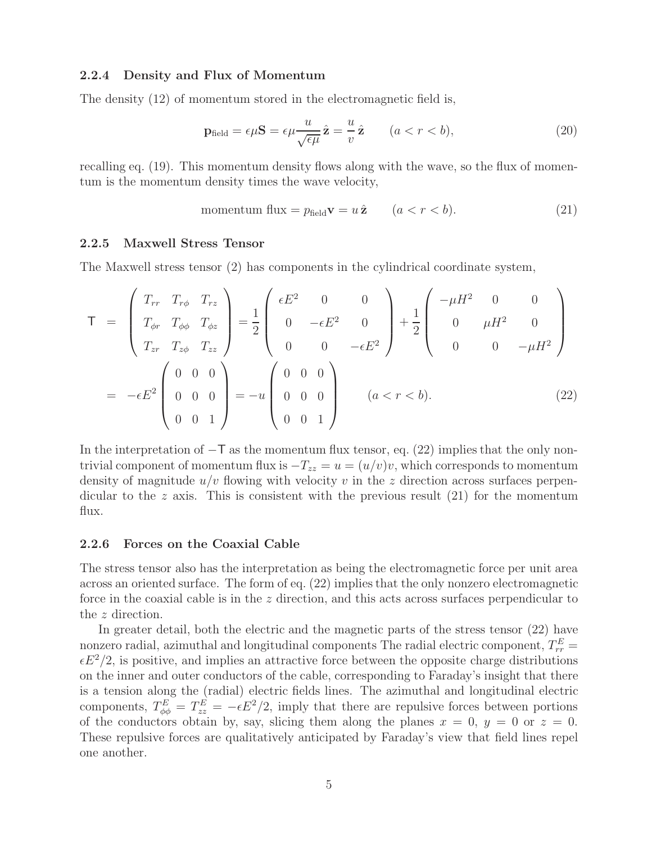#### **2.2.4 Density and Flux of Momentum**

The density (12) of momentum stored in the electromagnetic field is,

$$
\mathbf{p}_{\text{field}} = \epsilon \mu \mathbf{S} = \epsilon \mu \frac{u}{\sqrt{\epsilon \mu}} \hat{\mathbf{z}} = \frac{u}{v} \hat{\mathbf{z}} \qquad (a < r < b), \tag{20}
$$

recalling eq. (19). This momentum density flows along with the wave, so the flux of momentum is the momentum density times the wave velocity,

$$
momentum flux = p_{field} \mathbf{v} = u \hat{\mathbf{z}} \qquad (a < r < b). \tag{21}
$$

#### **2.2.5 Maxwell Stress Tensor**

The Maxwell stress tensor (2) has components in the cylindrical coordinate system,

$$
\mathsf{T} = \begin{pmatrix} T_{rr} & T_{r\phi} & T_{rz} \\ T_{\phi r} & T_{\phi \phi} & T_{\phi z} \\ T_{zr} & T_{z\phi} & T_{zz} \end{pmatrix} = \frac{1}{2} \begin{pmatrix} \epsilon E^2 & 0 & 0 \\ 0 & -\epsilon E^2 & 0 \\ 0 & 0 & -\epsilon E^2 \end{pmatrix} + \frac{1}{2} \begin{pmatrix} -\mu H^2 & 0 & 0 \\ 0 & \mu H^2 & 0 \\ 0 & 0 & -\mu H^2 \end{pmatrix}
$$
\n
$$
= -\epsilon E^2 \begin{pmatrix} 0 & 0 & 0 \\ 0 & 0 & 0 \\ 0 & 0 & 1 \end{pmatrix} = -u \begin{pmatrix} 0 & 0 & 0 \\ 0 & 0 & 0 \\ 0 & 0 & 1 \end{pmatrix} \qquad (a < r < b). \tag{22}
$$

In the interpretation of  $-T$  as the momentum flux tensor, eq. (22) implies that the only nontrivial component of momentum flux is  $-T_{zz} = u = (u/v)v$ , which corresponds to momentum density of magnitude  $u/v$  flowing with velocity v in the z direction across surfaces perpendicular to the z axis. This is consistent with the previous result  $(21)$  for the momentum flux.

#### **2.2.6 Forces on the Coaxial Cable**

The stress tensor also has the interpretation as being the electromagnetic force per unit area across an oriented surface. The form of eq. (22) implies that the only nonzero electromagnetic force in the coaxial cable is in the  $z$  direction, and this acts across surfaces perpendicular to the z direction.

In greater detail, both the electric and the magnetic parts of the stress tensor (22) have nonzero radial, azimuthal and longitudinal components The radial electric component,  $T_{rr}^E$  $\epsilon E^2/2$ , is positive, and implies an attractive force between the opposite charge distributions on the inner and outer conductors of the cable, corresponding to Faraday's insight that there is a tension along the (radial) electric fields lines. The azimuthal and longitudinal electric components,  $T_{\phi\phi}^E = T_{zz}^E = -\epsilon E^2/2$ , imply that there are repulsive forces between portions of the conductors obtain by, say, slicing them along the planes  $x = 0$ ,  $y = 0$  or  $z = 0$ . These repulsive forces are qualitatively anticipated by Faraday's view that field lines repel one another.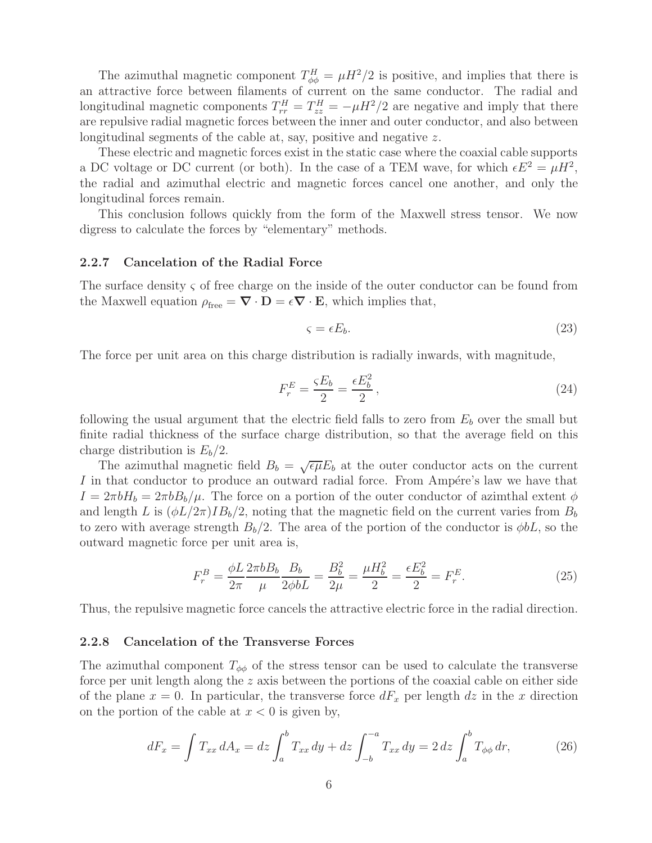The azimuthal magnetic component  $T_{\phi\phi}^H = \mu H^2/2$  is positive, and implies that there is an attractive force between filaments of current on the same conductor. The radial and longitudinal magnetic components  $T_{rr}^H = T_{zz}^H = -\mu H^2/2$  are negative and imply that there are repulsive radial magnetic forces between the inner and outer conductor, and also between longitudinal segments of the cable at, say, positive and negative z.

These electric and magnetic forces exist in the static case where the coaxial cable supports a DC voltage or DC current (or both). In the case of a TEM wave, for which  $\epsilon E^2 = \mu H^2$ , the radial and azimuthal electric and magnetic forces cancel one another, and only the longitudinal forces remain.

This conclusion follows quickly from the form of the Maxwell stress tensor. We now digress to calculate the forces by "elementary" methods.

### **2.2.7 Cancelation of the Radial Force**

The surface density ς of free charge on the inside of the outer conductor can be found from the Maxwell equation  $\rho_{\text{free}} = \nabla \cdot \mathbf{D} = \epsilon \nabla \cdot \mathbf{E}$ , which implies that,

$$
\varsigma = \epsilon E_b. \tag{23}
$$

The force per unit area on this charge distribution is radially inwards, with magnitude,

$$
F_r^E = \frac{\varsigma E_b}{2} = \frac{\epsilon E_b^2}{2},\tag{24}
$$

following the usual argument that the electric field falls to zero from  $E<sub>b</sub>$  over the small but finite radial thickness of the surface charge distribution, so that the average field on this charge distribution is  $E_b/2$ .

The azimuthal magnetic field  $B_b = \sqrt{\epsilon \mu} E_b$  at the outer conductor acts on the current I in that conductor to produce an outward radial force. From Ampére's law we have that  $I = 2\pi bH_b = 2\pi bB_b/\mu$ . The force on a portion of the outer conductor of azimthal extent  $\phi$ and length L is  $(\phi L/2\pi)IB_b/2$ , noting that the magnetic field on the current varies from  $B_b$ to zero with average strength  $B_b/2$ . The area of the portion of the conductor is  $\phi bL$ , so the outward magnetic force per unit area is,

$$
F_r^B = \frac{\phi L}{2\pi} \frac{2\pi b B_b}{\mu} \frac{B_b}{2\phi b L} = \frac{B_b^2}{2\mu} = \frac{\mu H_b^2}{2} = \frac{\epsilon E_b^2}{2} = F_r^E.
$$
 (25)

Thus, the repulsive magnetic force cancels the attractive electric force in the radial direction.

### **2.2.8 Cancelation of the Transverse Forces**

The azimuthal component  $T_{\phi\phi}$  of the stress tensor can be used to calculate the transverse force per unit length along the z axis between the portions of the coaxial cable on either side of the plane  $x = 0$ . In particular, the transverse force  $dF_x$  per length dz in the x direction on the portion of the cable at  $x < 0$  is given by,

$$
dF_x = \int T_{xx} dA_x = dz \int_a^b T_{xx} dy + dz \int_{-b}^{-a} T_{xx} dy = 2 dz \int_a^b T_{\phi\phi} dr,
$$
 (26)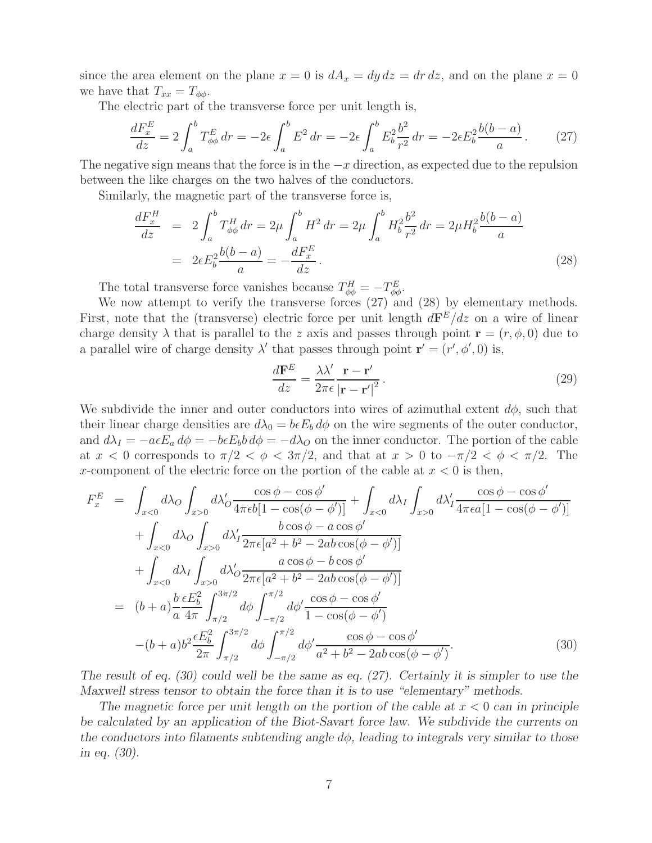since the area element on the plane  $x = 0$  is  $dA_x = dy dz = dr dz$ , and on the plane  $x = 0$ we have that  $T_{xx} = T_{\phi\phi}$ .

The electric part of the transverse force per unit length is,

$$
\frac{dF_x^E}{dz} = 2 \int_a^b T_{\phi\phi}^E dr = -2\epsilon \int_a^b E^2 dr = -2\epsilon \int_a^b E_b^2 \frac{b^2}{r^2} dr = -2\epsilon E_b^2 \frac{b(b-a)}{a}.
$$
 (27)

The negative sign means that the force is in the  $-x$  direction, as expected due to the repulsion between the like charges on the two halves of the conductors.

Similarly, the magnetic part of the transverse force is,

$$
\frac{dF_x^H}{dz} = 2 \int_a^b T_{\phi\phi}^H dr = 2\mu \int_a^b H^2 dr = 2\mu \int_a^b H_b^2 \frac{b^2}{r^2} dr = 2\mu H_b^2 \frac{b(b-a)}{a}
$$
\n
$$
= 2\epsilon E_b^2 \frac{b(b-a)}{a} = -\frac{dF_x^E}{dz}.
$$
\n(28)

The total transverse force vanishes because  $T_{\phi\phi}^H = -T_{\phi\phi}^E$ .

We now attempt to verify the transverse forces (27) and (28) by elementary methods. First, note that the (transverse) electric force per unit length  $d\mathbf{F}^E/dz$  on a wire of linear charge density  $\lambda$  that is parallel to the z axis and passes through point **r** =  $(r, \phi, 0)$  due to a parallel wire of charge density  $\lambda'$  that passes through point  $\mathbf{r}' = (r', \phi', 0)$  is,

$$
\frac{d\mathbf{F}^E}{dz} = \frac{\lambda \lambda'}{2\pi\epsilon} \frac{\mathbf{r} - \mathbf{r}'}{|\mathbf{r} - \mathbf{r}'|^2}.
$$
\n(29)

We subdivide the inner and outer conductors into wires of azimuthal extent  $d\phi$ , such that their linear charge densities are  $d\lambda_0 = b\epsilon E_b d\phi$  on the wire segments of the outer conductor, and  $d\lambda_I = -a\epsilon E_a d\phi = -b\epsilon E_b b d\phi = -d\lambda_O$  on the inner conductor. The portion of the cable at  $x < 0$  corresponds to  $\pi/2 < \phi < 3\pi/2$ , and that at  $x > 0$  to  $-\pi/2 < \phi < \pi/2$ . The x-component of the electric force on the portion of the cable at  $x < 0$  is then,

$$
F_x^E = \int_{x<0} d\lambda_0 \int_{x>0} d\lambda'_0 \frac{\cos \phi - \cos \phi'}{4\pi \epsilon b [1 - \cos(\phi - \phi')] } + \int_{x<0} d\lambda_1 \int_{x>0} d\lambda'_1 \frac{\cos \phi - \cos \phi'}{4\pi \epsilon a [1 - \cos(\phi - \phi')] } + \int_{x<0} d\lambda_0 \int_{x>0} d\lambda'_1 \frac{b \cos \phi - a \cos \phi'}{2\pi \epsilon [a^2 + b^2 - 2ab \cos(\phi - \phi')] } + \int_{x<0} d\lambda_1 \int_{x>0} d\lambda'_0 \frac{a \cos \phi - b \cos \phi'}{2\pi \epsilon [a^2 + b^2 - 2ab \cos(\phi - \phi')] } = (b + a) \frac{b}{a} \frac{\epsilon E_b^2}{4\pi} \int_{\pi/2}^{3\pi/2} d\phi \int_{-\pi/2}^{\pi/2} d\phi' \frac{\cos \phi - \cos \phi'}{1 - \cos(\phi - \phi')} - (b + a) b^2 \frac{\epsilon E_b^2}{2\pi} \int_{\pi/2}^{3\pi/2} d\phi \int_{-\pi/2}^{\pi/2} d\phi' \frac{\cos \phi - \cos \phi'}{a^2 + b^2 - 2ab \cos(\phi - \phi')}.
$$
(30)

*The result of eq. (30) could well be the same as eq. (27). Certainly it is simpler to use the Maxwell stress tensor to obtain the force than it is to use "elementary" methods.*

The magnetic force per unit length on the portion of the cable at  $x < 0$  can in principle *be calculated by an application of the Biot-Savart force law. We subdivide the currents on the conductors into filaments subtending angle* dφ*, leading to integrals very similar to those in eq. (30).*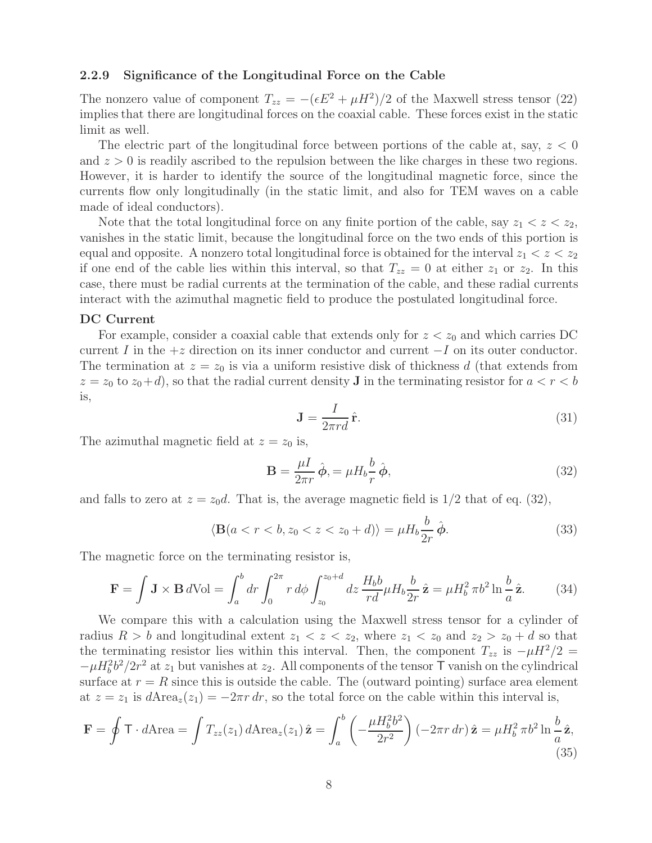#### **2.2.9 Significance of the Longitudinal Force on the Cable**

The nonzero value of component  $T_{zz} = -(\epsilon E^2 + \mu H^2)/2$  of the Maxwell stress tensor (22) implies that there are longitudinal forces on the coaxial cable. These forces exist in the static limit as well.

The electric part of the longitudinal force between portions of the cable at, say,  $z < 0$ and  $z > 0$  is readily ascribed to the repulsion between the like charges in these two regions. However, it is harder to identify the source of the longitudinal magnetic force, since the currents flow only longitudinally (in the static limit, and also for TEM waves on a cable made of ideal conductors).

Note that the total longitudinal force on any finite portion of the cable, say  $z_1 < z < z_2$ , vanishes in the static limit, because the longitudinal force on the two ends of this portion is equal and opposite. A nonzero total longitudinal force is obtained for the interval  $z_1 < z < z_2$ if one end of the cable lies within this interval, so that  $T_{zz} = 0$  at either  $z_1$  or  $z_2$ . In this case, there must be radial currents at the termination of the cable, and these radial currents interact with the azimuthal magnetic field to produce the postulated longitudinal force.

#### **DC Current**

For example, consider a coaxial cable that extends only for  $z < z_0$  and which carries DC current I in the  $+z$  direction on its inner conductor and current  $-I$  on its outer conductor. The termination at  $z = z_0$  is via a uniform resistive disk of thickness d (that extends from  $z = z_0$  to  $z_0 + d$ , so that the radial current density **J** in the terminating resistor for  $a < r < b$ is,

$$
\mathbf{J} = \frac{I}{2\pi r d} \hat{\mathbf{r}}.\tag{31}
$$

The azimuthal magnetic field at  $z = z_0$  is,

$$
\mathbf{B} = \frac{\mu I}{2\pi r} \hat{\boldsymbol{\phi}}, = \mu H_b \frac{b}{r} \hat{\boldsymbol{\phi}},\tag{32}
$$

and falls to zero at  $z = z_0d$ . That is, the average magnetic field is  $1/2$  that of eq. (32),

$$
\langle \mathbf{B}(a < r < b, z_0 < z < z_0 + d) \rangle = \mu H_b \frac{b}{2r} \hat{\boldsymbol{\phi}}.\tag{33}
$$

The magnetic force on the terminating resistor is,

$$
\mathbf{F} = \int \mathbf{J} \times \mathbf{B} \, d\text{Vol} = \int_a^b dr \int_0^{2\pi} r \, d\phi \int_{z_0}^{z_0 + d} dz \, \frac{H_b b}{rd} \mu H_b \frac{b}{2r} \hat{\mathbf{z}} = \mu H_b^2 \, \pi b^2 \ln \frac{b}{a} \hat{\mathbf{z}}.
$$
 (34)

We compare this with a calculation using the Maxwell stress tensor for a cylinder of radius  $R > b$  and longitudinal extent  $z_1 < z < z_2$ , where  $z_1 < z_0$  and  $z_2 > z_0 + d$  so that the terminating resistor lies within this interval. Then, the component  $T_{zz}$  is  $-\mu H^2/2 =$  $-\mu H_b^2 b^2/2r^2$  at  $z_1$  but vanishes at  $z_2$ . All components of the tensor T vanish on the cylindrical surface at  $r = R$  since this is outside the cable. The (outward pointing) surface area element at  $z = z_1$  is  $d \text{Area}_z(z_1) = -2\pi r dr$ , so the total force on the cable within this interval is,

$$
\mathbf{F} = \oint \mathbf{T} \cdot d\text{Area} = \int T_{zz}(z_1) d\text{Area}_z(z_1) \,\hat{\mathbf{z}} = \int_a^b \left( -\frac{\mu H_b^2 b^2}{2r^2} \right) (-2\pi r \, dr) \,\hat{\mathbf{z}} = \mu H_b^2 \,\pi b^2 \ln \frac{b}{a} \,\hat{\mathbf{z}},\tag{35}
$$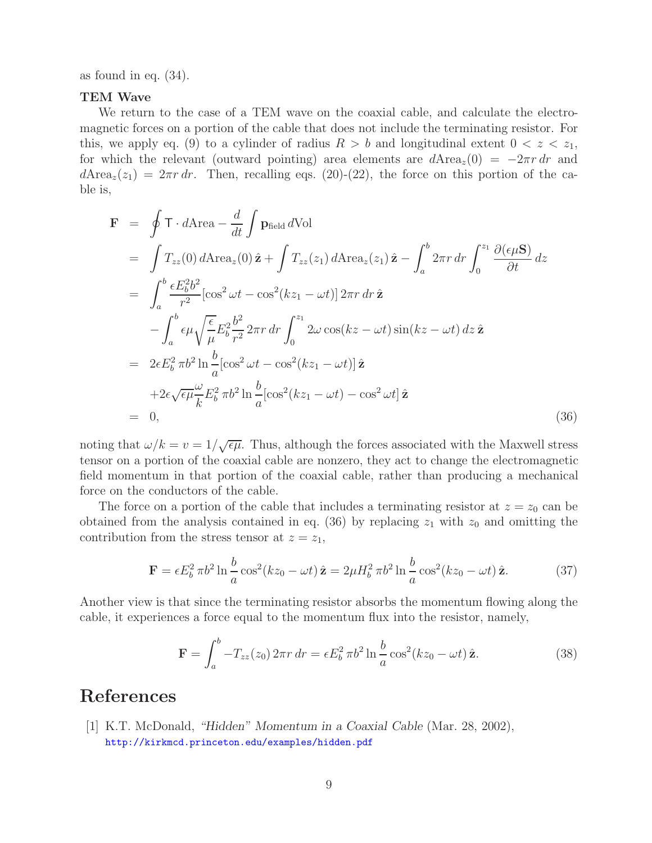as found in eq. (34).

### **TEM Wave**

We return to the case of a TEM wave on the coaxial cable, and calculate the electromagnetic forces on a portion of the cable that does not include the terminating resistor. For this, we apply eq. (9) to a cylinder of radius  $R > b$  and longitudinal extent  $0 < z < z_1$ , for which the relevant (outward pointing) area elements are  $d\text{Area}_z(0) = -2\pi r dr$  and  $d\text{Area}_z(z_1)=2\pi r dr$ . Then, recalling eqs. (20)-(22), the force on this portion of the cable is,

$$
\mathbf{F} = \oint \mathbf{T} \cdot d\text{Area} - \frac{d}{dt} \int \mathbf{p}_{field} d\text{Vol}
$$
  
\n
$$
= \int T_{zz}(0) d\text{Area}_{z}(0) \hat{\mathbf{z}} + \int T_{zz}(z_1) d\text{Area}_{z}(z_1) \hat{\mathbf{z}} - \int_a^b 2\pi r dr \int_0^{z_1} \frac{\partial(\epsilon \mu \mathbf{S})}{\partial t} dz
$$
  
\n
$$
= \int_a^b \frac{\epsilon E_b^2 b^2}{r^2} [\cos^2 \omega t - \cos^2(kz_1 - \omega t)] 2\pi r dr \hat{\mathbf{z}}
$$
  
\n
$$
- \int_a^b \epsilon \mu \sqrt{\frac{\epsilon}{\mu}} E_b^2 \frac{b^2}{r^2} 2\pi r dr \int_0^{z_1} 2\omega \cos(kz - \omega t) \sin(kz - \omega t) dz \hat{\mathbf{z}}
$$
  
\n
$$
= 2\epsilon E_b^2 \pi b^2 \ln \frac{b}{a} [\cos^2 \omega t - \cos^2(kz_1 - \omega t)] \hat{\mathbf{z}}
$$
  
\n
$$
+ 2\epsilon \sqrt{\epsilon \mu} \frac{\omega}{k} E_b^2 \pi b^2 \ln \frac{b}{a} [\cos^2(kz_1 - \omega t) - \cos^2 \omega t] \hat{\mathbf{z}}
$$
  
\n
$$
= 0,
$$
 (36)

noting that  $\omega/k = v = 1/\sqrt{\epsilon\mu}$ . Thus, although the forces associated with the Maxwell stress tensor on a portion of the coaxial cable are nonzero, they act to change the electromagnetic field momentum in that portion of the coaxial cable, rather than producing a mechanical force on the conductors of the cable.

The force on a portion of the cable that includes a terminating resistor at  $z = z_0$  can be obtained from the analysis contained in eq. (36) by replacing  $z_1$  with  $z_0$  and omitting the contribution from the stress tensor at  $z = z_1$ ,

$$
\mathbf{F} = \epsilon E_b^2 \pi b^2 \ln \frac{b}{a} \cos^2(kz_0 - \omega t) \hat{\mathbf{z}} = 2\mu H_b^2 \pi b^2 \ln \frac{b}{a} \cos^2(kz_0 - \omega t) \hat{\mathbf{z}}.
$$
 (37)

Another view is that since the terminating resistor absorbs the momentum flowing along the cable, it experiences a force equal to the momentum flux into the resistor, namely,

$$
\mathbf{F} = \int_a^b -T_{zz}(z_0) 2\pi r \, dr = \epsilon E_b^2 \pi b^2 \ln \frac{b}{a} \cos^2(kz_0 - \omega t) \hat{\mathbf{z}}.\tag{38}
$$

# **References**

[1] K.T. McDonald, *"Hidden" Momentum in a Coaxial Cable* (Mar. 28, 2002), http://kirkmcd.princeton.edu/examples/hidden.pdf